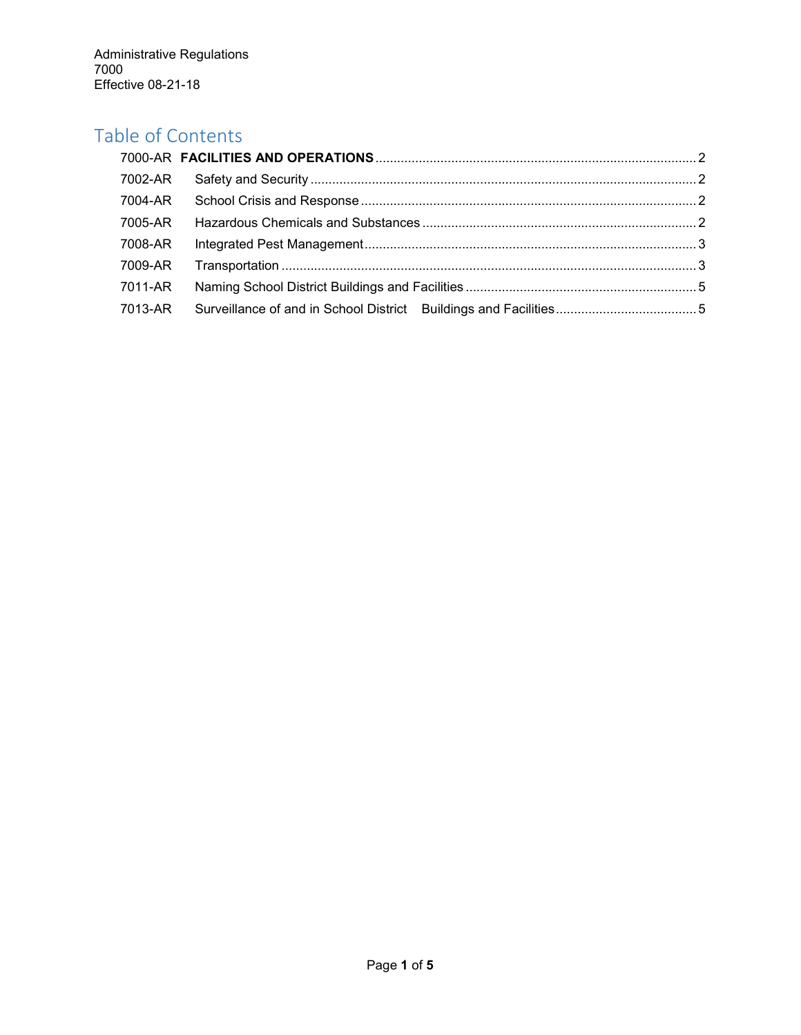# Table of Contents

| 7002-AR |  |
|---------|--|
| 7004-AR |  |
| 7005-AR |  |
| 7008-AR |  |
| 7009-AR |  |
| 7011-AR |  |
| 7013-AR |  |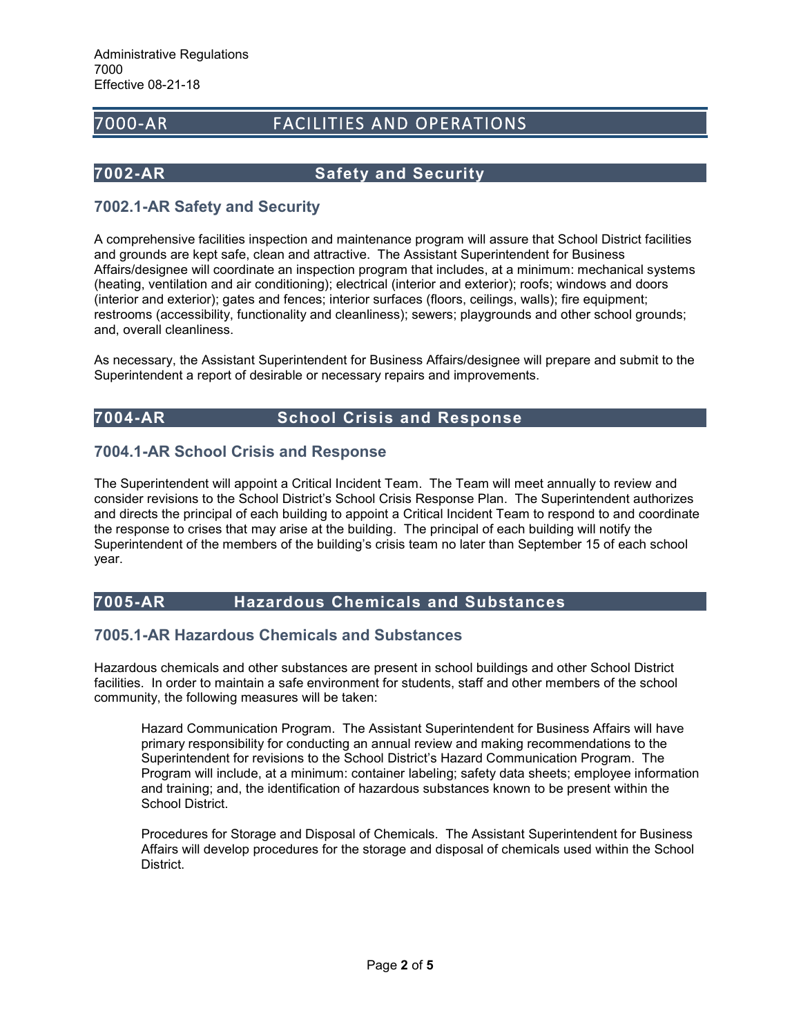# <span id="page-1-0"></span>7000-AR FACILITIES AND OPERATIONS

## <span id="page-1-1"></span>**7002-AR Safety and Security**

# **7002.1-AR Safety and Security**

A comprehensive facilities inspection and maintenance program will assure that School District facilities and grounds are kept safe, clean and attractive. The Assistant Superintendent for Business Affairs/designee will coordinate an inspection program that includes, at a minimum: mechanical systems (heating, ventilation and air conditioning); electrical (interior and exterior); roofs; windows and doors (interior and exterior); gates and fences; interior surfaces (floors, ceilings, walls); fire equipment; restrooms (accessibility, functionality and cleanliness); sewers; playgrounds and other school grounds; and, overall cleanliness.

As necessary, the Assistant Superintendent for Business Affairs/designee will prepare and submit to the Superintendent a report of desirable or necessary repairs and improvements.

# <span id="page-1-2"></span>**7004-AR School Crisis and Response**

# **7004.1-AR School Crisis and Response**

The Superintendent will appoint a Critical Incident Team. The Team will meet annually to review and consider revisions to the School District's School Crisis Response Plan. The Superintendent authorizes and directs the principal of each building to appoint a Critical Incident Team to respond to and coordinate the response to crises that may arise at the building. The principal of each building will notify the Superintendent of the members of the building's crisis team no later than September 15 of each school year.

# <span id="page-1-3"></span>**7005-AR Hazardous Chemicals and Substances**

# **7005.1-AR Hazardous Chemicals and Substances**

Hazardous chemicals and other substances are present in school buildings and other School District facilities. In order to maintain a safe environment for students, staff and other members of the school community, the following measures will be taken:

Hazard Communication Program. The Assistant Superintendent for Business Affairs will have primary responsibility for conducting an annual review and making recommendations to the Superintendent for revisions to the School District's Hazard Communication Program. The Program will include, at a minimum: container labeling; safety data sheets; employee information and training; and, the identification of hazardous substances known to be present within the School District.

Procedures for Storage and Disposal of Chemicals. The Assistant Superintendent for Business Affairs will develop procedures for the storage and disposal of chemicals used within the School District.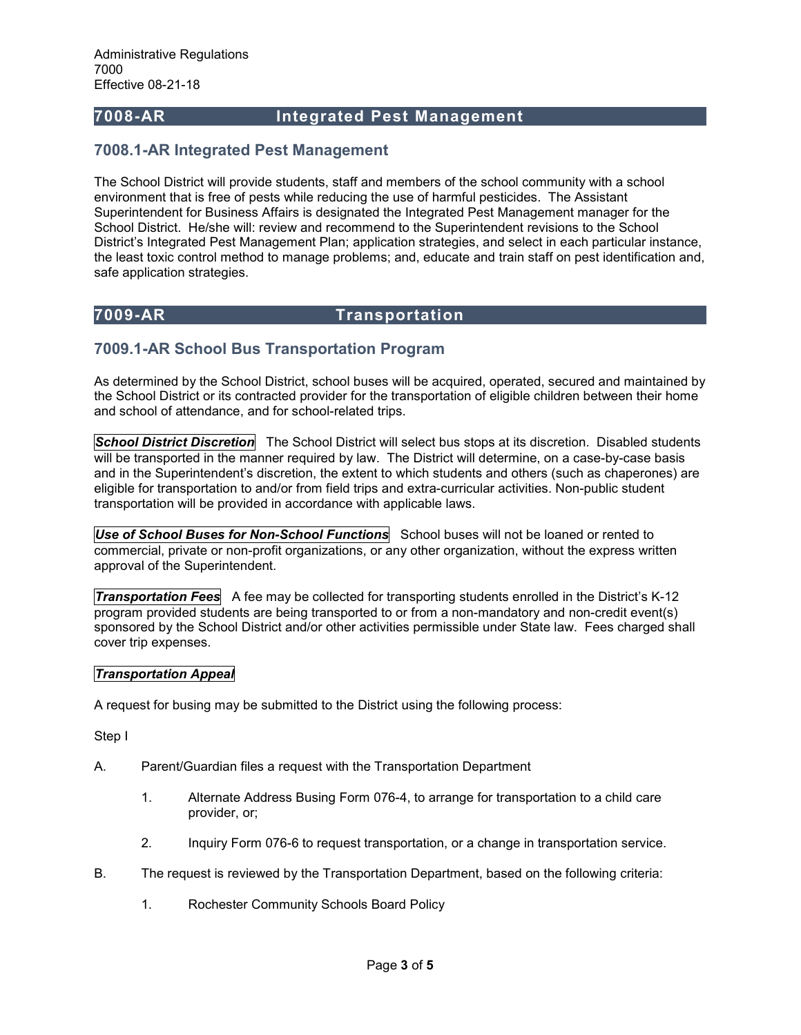## <span id="page-2-0"></span>**7008-AR Integrated Pest Management**

### **7008.1-AR Integrated Pest Management**

The School District will provide students, staff and members of the school community with a school environment that is free of pests while reducing the use of harmful pesticides. The Assistant Superintendent for Business Affairs is designated the Integrated Pest Management manager for the School District. He/she will: review and recommend to the Superintendent revisions to the School District's Integrated Pest Management Plan; application strategies, and select in each particular instance, the least toxic control method to manage problems; and, educate and train staff on pest identification and, safe application strategies.

# <span id="page-2-1"></span>**7009-AR Transportation**

# **7009.1-AR School Bus Transportation Program**

As determined by the School District, school buses will be acquired, operated, secured and maintained by the School District or its contracted provider for the transportation of eligible children between their home and school of attendance, and for school-related trips.

*School District Discretion* The School District will select bus stops at its discretion. Disabled students will be transported in the manner required by law. The District will determine, on a case-by-case basis and in the Superintendent's discretion, the extent to which students and others (such as chaperones) are eligible for transportation to and/or from field trips and extra-curricular activities. Non-public student transportation will be provided in accordance with applicable laws.

*Use of School Buses for Non-School Functions* School buses will not be loaned or rented to commercial, private or non-profit organizations, or any other organization, without the express written approval of the Superintendent.

*Transportation Fees* A fee may be collected for transporting students enrolled in the District's K-12 program provided students are being transported to or from a non-mandatory and non-credit event(s) sponsored by the School District and/or other activities permissible under State law. Fees charged shall cover trip expenses.

### *Transportation Appeal*

A request for busing may be submitted to the District using the following process:

Step I

- A. Parent/Guardian files a request with the Transportation Department
	- 1. Alternate Address Busing Form 076-4, to arrange for transportation to a child care provider, or;
	- 2. Inquiry Form 076-6 to request transportation, or a change in transportation service.
- B. The request is reviewed by the Transportation Department, based on the following criteria:
	- 1. Rochester Community Schools Board Policy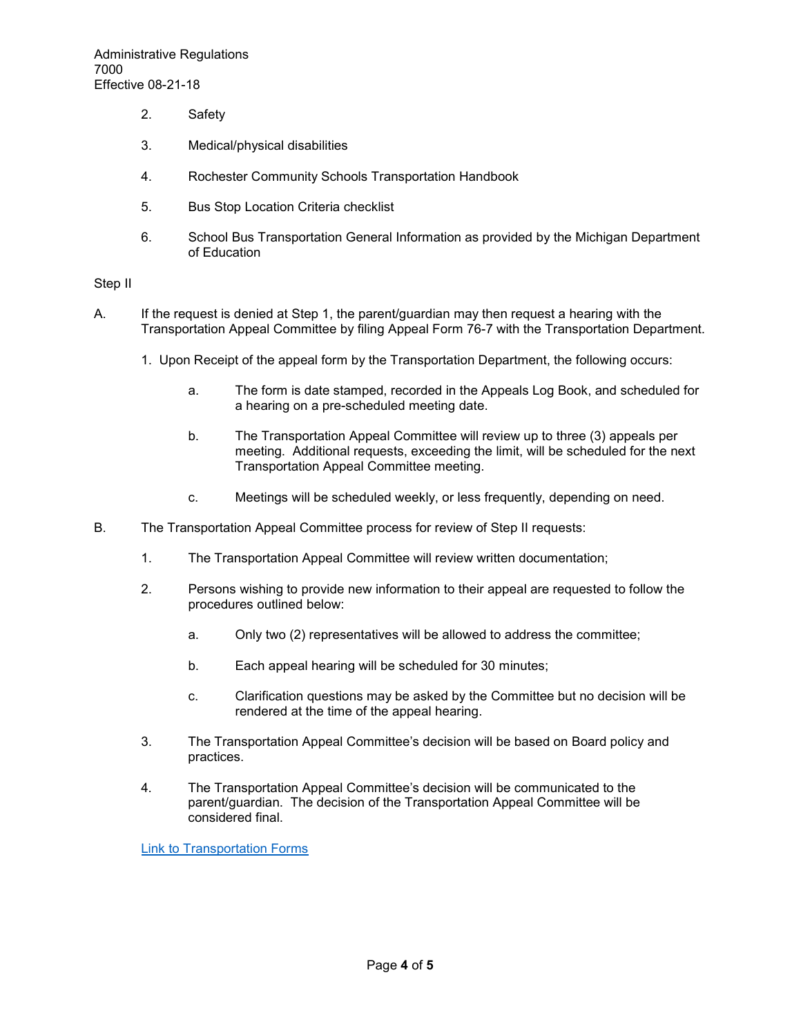- 2. Safety
- 3. Medical/physical disabilities
- 4. Rochester Community Schools Transportation Handbook
- 5. Bus Stop Location Criteria checklist
- 6. School Bus Transportation General Information as provided by the Michigan Department of Education

### Step II

- A. If the request is denied at Step 1, the parent/guardian may then request a hearing with the Transportation Appeal Committee by filing Appeal Form 76-7 with the Transportation Department.
	- 1. Upon Receipt of the appeal form by the Transportation Department, the following occurs:
		- a. The form is date stamped, recorded in the Appeals Log Book, and scheduled for a hearing on a pre-scheduled meeting date.
		- b. The Transportation Appeal Committee will review up to three (3) appeals per meeting. Additional requests, exceeding the limit, will be scheduled for the next Transportation Appeal Committee meeting.
		- c. Meetings will be scheduled weekly, or less frequently, depending on need.
- B. The Transportation Appeal Committee process for review of Step II requests:
	- 1. The Transportation Appeal Committee will review written documentation;
	- 2. Persons wishing to provide new information to their appeal are requested to follow the procedures outlined below:
		- a. Only two (2) representatives will be allowed to address the committee;
		- b. Each appeal hearing will be scheduled for 30 minutes;
		- c. Clarification questions may be asked by the Committee but no decision will be rendered at the time of the appeal hearing.
	- 3. The Transportation Appeal Committee's decision will be based on Board policy and practices.
	- 4. The Transportation Appeal Committee's decision will be communicated to the parent/guardian. The decision of the Transportation Appeal Committee will be considered final.

[Link to Transportation Forms](https://www.rochester.k12.mi.us/about-us/departments/transportation/transportation-documents)